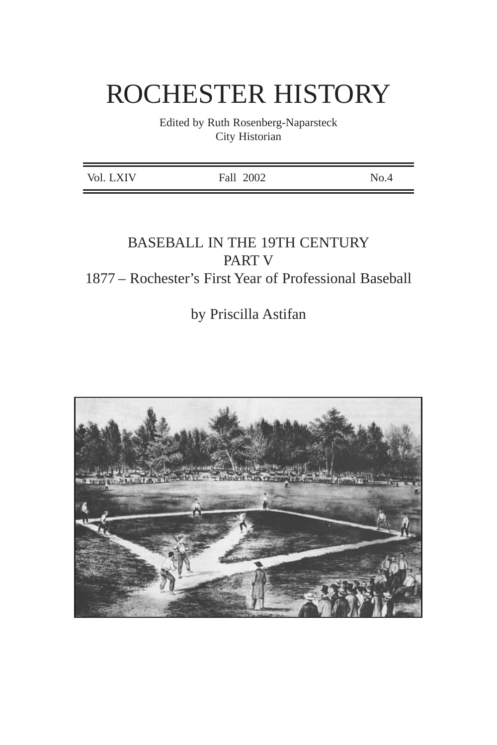# ROCHESTER HISTORY

Edited by Ruth Rosenberg-Naparsteck City Historian

## BASEBALL IN THE 19TH CENTURY PART V 1877 – Rochester's First Year of Professional Baseball

by Priscilla Astifan

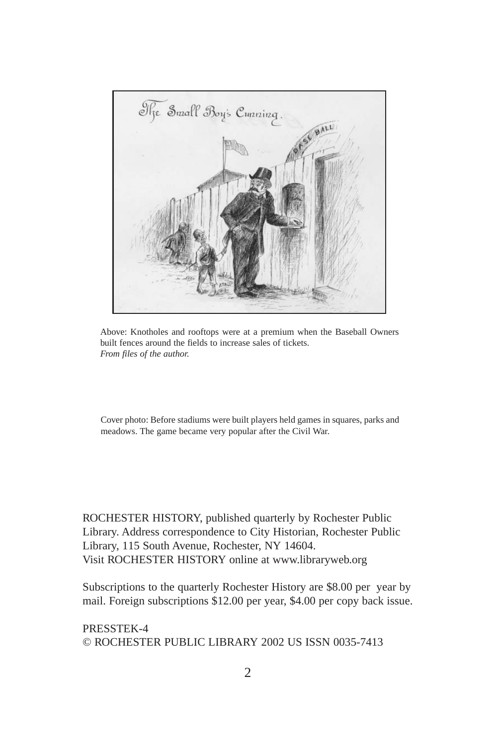

Above: Knotholes and rooftops were at a premium when the Baseball Owners built fences around the fields to increase sales of tickets. *From files of the author.*

Cover photo: Before stadiums were built players held games in squares, parks and meadows. The game became very popular after the Civil War.

ROCHESTER HISTORY, published quarterly by Rochester Public Library. Address correspondence to City Historian, Rochester Public Library, 115 South Avenue, Rochester, NY 14604. Visit ROCHESTER HISTORY online at www.libraryweb.org

Subscriptions to the quarterly Rochester History are \$8.00 per year by mail. Foreign subscriptions \$12.00 per year, \$4.00 per copy back issue.

PRESSTEK-4 © ROCHESTER PUBLIC LIBRARY 2002 US ISSN 0035-7413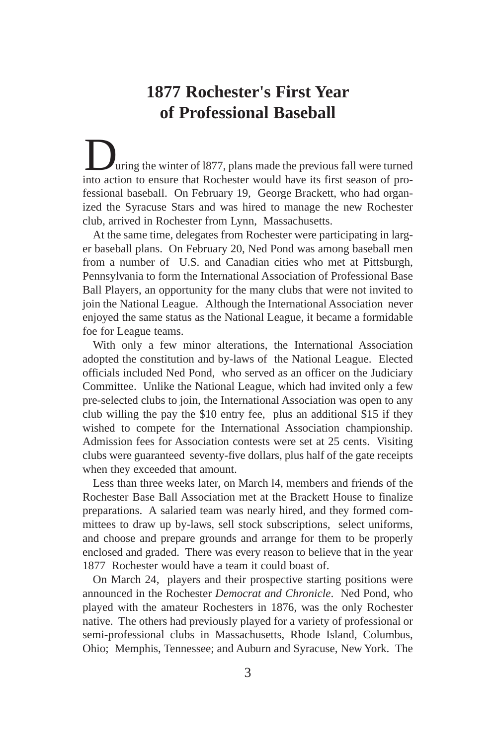# **1877 Rochester's First Year of Professional Baseball**

uring the winter of 1877, plans made the previous fall were turned **into action** the winter of 1877, plans made the previous fall were turned into action to ensure that Rochester would have its first season of professional baseball. On February 19, George Brackett, who had organized the Syracuse Stars and was hired to manage the new Rochester club, arrived in Rochester from Lynn, Massachusetts.

At the same time, delegates from Rochester were participating in larger baseball plans. On February 20, Ned Pond was among baseball men from a number of U.S. and Canadian cities who met at Pittsburgh, Pennsylvania to form the International Association of Professional Base Ball Players, an opportunity for the many clubs that were not invited to join the National League. Although the International Association never enjoyed the same status as the National League, it became a formidable foe for League teams.

With only a few minor alterations, the International Association adopted the constitution and by-laws of the National League. Elected officials included Ned Pond, who served as an officer on the Judiciary Committee. Unlike the National League, which had invited only a few pre-selected clubs to join, the International Association was open to any club willing the pay the \$10 entry fee, plus an additional \$15 if they wished to compete for the International Association championship. Admission fees for Association contests were set at 25 cents. Visiting clubs were guaranteed seventy-five dollars, plus half of the gate receipts when they exceeded that amount.

Less than three weeks later, on March l4, members and friends of the Rochester Base Ball Association met at the Brackett House to finalize preparations. A salaried team was nearly hired, and they formed committees to draw up by-laws, sell stock subscriptions, select uniforms, and choose and prepare grounds and arrange for them to be properly enclosed and graded. There was every reason to believe that in the year 1877 Rochester would have a team it could boast of.

On March 24, players and their prospective starting positions were announced in the Rochester *Democrat and Chronicle*. Ned Pond, who played with the amateur Rochesters in 1876, was the only Rochester native. The others had previously played for a variety of professional or semi-professional clubs in Massachusetts, Rhode Island, Columbus, Ohio; Memphis, Tennessee; and Auburn and Syracuse, New York. The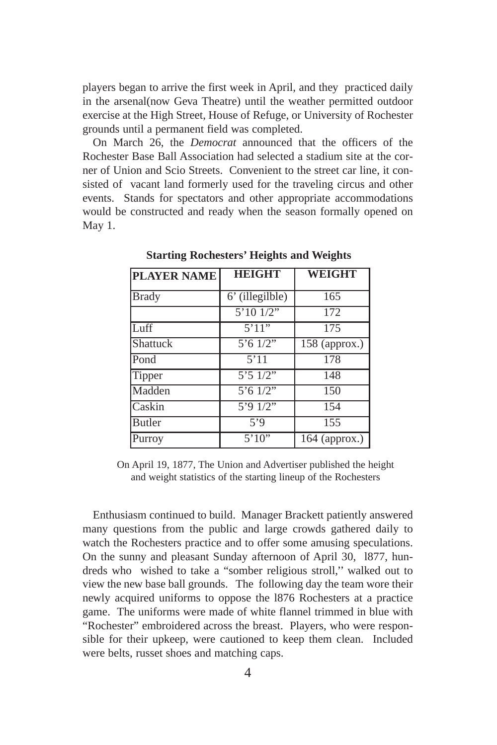players began to arrive the first week in April, and they practiced daily in the arsenal(now Geva Theatre) until the weather permitted outdoor exercise at the High Street, House of Refuge, or University of Rochester grounds until a permanent field was completed.

On March 26, the *Democrat* announced that the officers of the Rochester Base Ball Association had selected a stadium site at the corner of Union and Scio Streets. Convenient to the street car line, it consisted of vacant land formerly used for the traveling circus and other events. Stands for spectators and other appropriate accommodations would be constructed and ready when the season formally opened on May 1.

| <b>PLAYER NAME</b> | <b>HEIGHT</b>                                 | WEIGHT          |
|--------------------|-----------------------------------------------|-----------------|
| <b>Brady</b>       | 6' (illegilble)                               | 165             |
|                    | 5'10'1/2''                                    | 172             |
| Luff <sup></sup>   | 5'11"                                         | 175             |
| Shattuck           | $5'6$ 1/2"                                    | $158$ (approx.) |
| Pond               | 5'11                                          | 178             |
| Tipper             | 5'51/2"                                       | 148             |
| Madden             | $5'6 \overline{1/2''}$                        | 150             |
| Caskin             | $\frac{1}{2}$ ; $\frac{1}{2}$ ; $\frac{1}{2}$ | 154             |
| Butler             | 5'9                                           | 155             |
| Purroy             | 5'10''                                        | $164$ (approx.) |

**Starting Rochesters' Heights and Weights**

On April 19, 1877, The Union and Advertiser published the height and weight statistics of the starting lineup of the Rochesters

Enthusiasm continued to build. Manager Brackett patiently answered many questions from the public and large crowds gathered daily to watch the Rochesters practice and to offer some amusing speculations. On the sunny and pleasant Sunday afternoon of April 30, l877, hundreds who wished to take a "somber religious stroll,'' walked out to view the new base ball grounds. The following day the team wore their newly acquired uniforms to oppose the l876 Rochesters at a practice game. The uniforms were made of white flannel trimmed in blue with "Rochester" embroidered across the breast. Players, who were responsible for their upkeep, were cautioned to keep them clean. Included were belts, russet shoes and matching caps.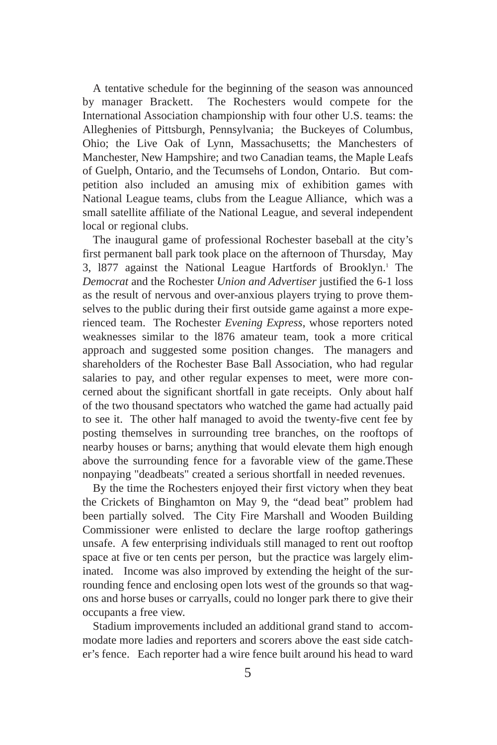A tentative schedule for the beginning of the season was announced by manager Brackett. The Rochesters would compete for the International Association championship with four other U.S. teams: the Alleghenies of Pittsburgh, Pennsylvania; the Buckeyes of Columbus, Ohio; the Live Oak of Lynn, Massachusetts; the Manchesters of Manchester, New Hampshire; and two Canadian teams, the Maple Leafs of Guelph, Ontario, and the Tecumsehs of London, Ontario. But competition also included an amusing mix of exhibition games with National League teams, clubs from the League Alliance, which was a small satellite affiliate of the National League, and several independent local or regional clubs.

The inaugural game of professional Rochester baseball at the city's first permanent ball park took place on the afternoon of Thursday, May 3, 1877 against the National League Hartfords of Brooklyn.<sup>1</sup> The *Democrat* and the Rochester *Union and Advertiser* justified the 6-1 loss as the result of nervous and over-anxious players trying to prove themselves to the public during their first outside game against a more experienced team. The Rochester *Evening Express*, whose reporters noted weaknesses similar to the l876 amateur team, took a more critical approach and suggested some position changes. The managers and shareholders of the Rochester Base Ball Association, who had regular salaries to pay, and other regular expenses to meet, were more concerned about the significant shortfall in gate receipts. Only about half of the two thousand spectators who watched the game had actually paid to see it. The other half managed to avoid the twenty-five cent fee by posting themselves in surrounding tree branches, on the rooftops of nearby houses or barns; anything that would elevate them high enough above the surrounding fence for a favorable view of the game.These nonpaying "deadbeats" created a serious shortfall in needed revenues.

By the time the Rochesters enjoyed their first victory when they beat the Crickets of Binghamton on May 9, the "dead beat" problem had been partially solved. The City Fire Marshall and Wooden Building Commissioner were enlisted to declare the large rooftop gatherings unsafe. A few enterprising individuals still managed to rent out rooftop space at five or ten cents per person, but the practice was largely eliminated. Income was also improved by extending the height of the surrounding fence and enclosing open lots west of the grounds so that wagons and horse buses or carryalls, could no longer park there to give their occupants a free view.

Stadium improvements included an additional grand stand to accommodate more ladies and reporters and scorers above the east side catcher's fence. Each reporter had a wire fence built around his head to ward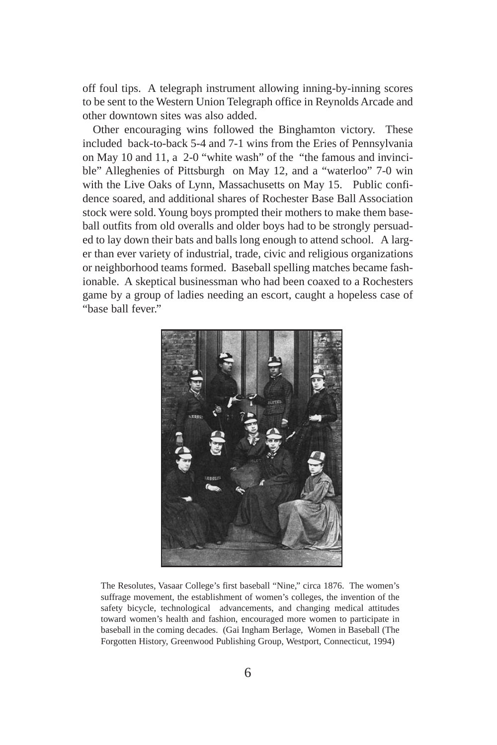off foul tips. A telegraph instrument allowing inning-by-inning scores to be sent to the Western Union Telegraph office in Reynolds Arcade and other downtown sites was also added.

Other encouraging wins followed the Binghamton victory. These included back-to-back 5-4 and 7-1 wins from the Eries of Pennsylvania on May 10 and 11, a 2-0 "white wash" of the "the famous and invincible" Alleghenies of Pittsburgh on May 12, and a "waterloo" 7-0 win with the Live Oaks of Lynn, Massachusetts on May 15. Public confidence soared, and additional shares of Rochester Base Ball Association stock were sold. Young boys prompted their mothers to make them baseball outfits from old overalls and older boys had to be strongly persuaded to lay down their bats and balls long enough to attend school. A larger than ever variety of industrial, trade, civic and religious organizations or neighborhood teams formed. Baseball spelling matches became fashionable. A skeptical businessman who had been coaxed to a Rochesters game by a group of ladies needing an escort, caught a hopeless case of "base ball fever."



The Resolutes, Vasaar College's first baseball "Nine," circa 1876. The women's suffrage movement, the establishment of women's colleges, the invention of the safety bicycle, technological advancements, and changing medical attitudes toward women's health and fashion, encouraged more women to participate in baseball in the coming decades. (Gai Ingham Berlage, Women in Baseball (The Forgotten History, Greenwood Publishing Group, Westport, Connecticut, 1994)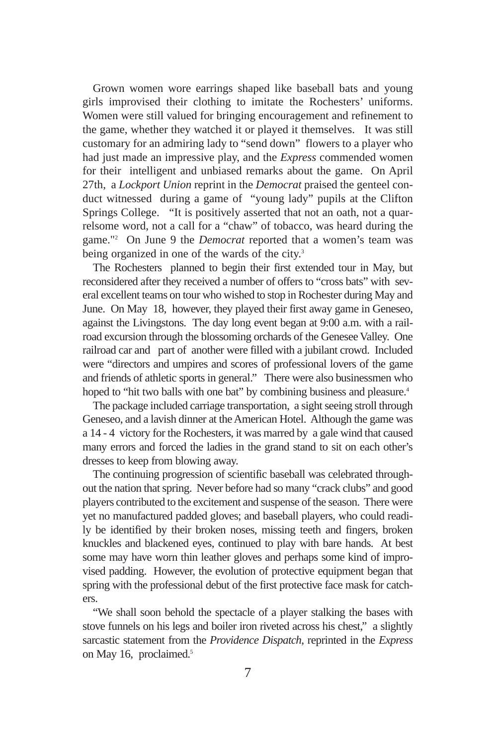Grown women wore earrings shaped like baseball bats and young girls improvised their clothing to imitate the Rochesters' uniforms. Women were still valued for bringing encouragement and refinement to the game, whether they watched it or played it themselves. It was still customary for an admiring lady to "send down" flowers to a player who had just made an impressive play, and the *Express* commended women for their intelligent and unbiased remarks about the game. On April 27th, a *Lockport Union* reprint in the *Democrat* praised the genteel conduct witnessed during a game of "young lady" pupils at the Clifton Springs College. "It is positively asserted that not an oath, not a quarrelsome word, not a call for a "chaw" of tobacco, was heard during the game."2 On June 9 the *Democrat* reported that a women's team was being organized in one of the wards of the city.<sup>3</sup>

The Rochesters planned to begin their first extended tour in May, but reconsidered after they received a number of offers to "cross bats" with several excellent teams on tour who wished to stop in Rochester during May and June. On May 18, however, they played their first away game in Geneseo, against the Livingstons. The day long event began at 9:00 a.m. with a railroad excursion through the blossoming orchards of the Genesee Valley. One railroad car and part of another were filled with a jubilant crowd. Included were "directors and umpires and scores of professional lovers of the game and friends of athletic sports in general." There were also businessmen who hoped to "hit two balls with one bat" by combining business and pleasure.<sup>4</sup>

The package included carriage transportation, a sight seeing stroll through Geneseo, and a lavish dinner at the American Hotel. Although the game was a 14 - 4 victory for the Rochesters, it was marred by a gale wind that caused many errors and forced the ladies in the grand stand to sit on each other's dresses to keep from blowing away.

The continuing progression of scientific baseball was celebrated throughout the nation that spring. Never before had so many "crack clubs" and good players contributed to the excitement and suspense of the season. There were yet no manufactured padded gloves; and baseball players, who could readily be identified by their broken noses, missing teeth and fingers, broken knuckles and blackened eyes, continued to play with bare hands. At best some may have worn thin leather gloves and perhaps some kind of improvised padding. However, the evolution of protective equipment began that spring with the professional debut of the first protective face mask for catchers.

"We shall soon behold the spectacle of a player stalking the bases with stove funnels on his legs and boiler iron riveted across his chest," a slightly sarcastic statement from the *Providence Dispatch*, reprinted in the *Express* on May 16, proclaimed.<sup>5</sup>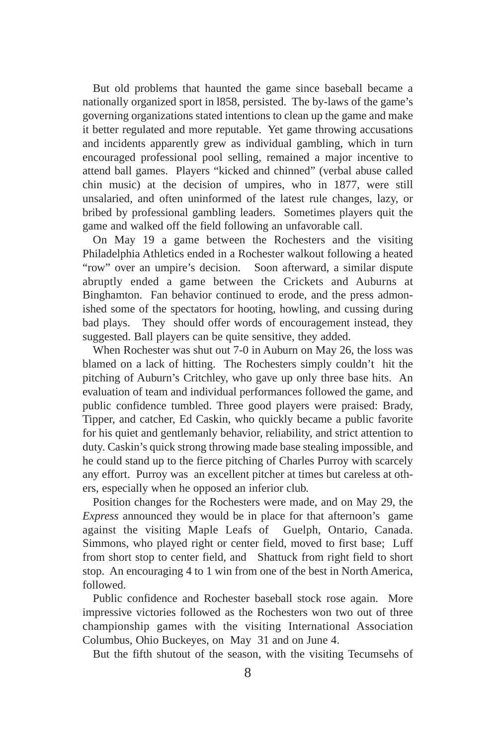But old problems that haunted the game since baseball became a nationally organized sport in l858, persisted. The by-laws of the game's governing organizations stated intentions to clean up the game and make it better regulated and more reputable. Yet game throwing accusations and incidents apparently grew as individual gambling, which in turn encouraged professional pool selling, remained a major incentive to attend ball games. Players "kicked and chinned" (verbal abuse called chin music) at the decision of umpires, who in 1877, were still unsalaried, and often uninformed of the latest rule changes, lazy, or bribed by professional gambling leaders. Sometimes players quit the game and walked off the field following an unfavorable call.

On May 19 a game between the Rochesters and the visiting Philadelphia Athletics ended in a Rochester walkout following a heated "row" over an umpire's decision. Soon afterward, a similar dispute abruptly ended a game between the Crickets and Auburns at Binghamton. Fan behavior continued to erode, and the press admonished some of the spectators for hooting, howling, and cussing during bad plays. They should offer words of encouragement instead, they suggested. Ball players can be quite sensitive, they added.

When Rochester was shut out 7-0 in Auburn on May 26, the loss was blamed on a lack of hitting. The Rochesters simply couldn't hit the pitching of Auburn's Critchley, who gave up only three base hits. An evaluation of team and individual performances followed the game, and public confidence tumbled. Three good players were praised: Brady, Tipper, and catcher, Ed Caskin, who quickly became a public favorite for his quiet and gentlemanly behavior, reliability, and strict attention to duty. Caskin's quick strong throwing made base stealing impossible, and he could stand up to the fierce pitching of Charles Purroy with scarcely any effort. Purroy was an excellent pitcher at times but careless at others, especially when he opposed an inferior club.

Position changes for the Rochesters were made, and on May 29, the *Express* announced they would be in place for that afternoon's game against the visiting Maple Leafs of Guelph, Ontario, Canada. Simmons, who played right or center field, moved to first base; Luff from short stop to center field, and Shattuck from right field to short stop. An encouraging 4 to 1 win from one of the best in North America, followed.

Public confidence and Rochester baseball stock rose again. More impressive victories followed as the Rochesters won two out of three championship games with the visiting International Association Columbus, Ohio Buckeyes, on May 31 and on June 4.

But the fifth shutout of the season, with the visiting Tecumsehs of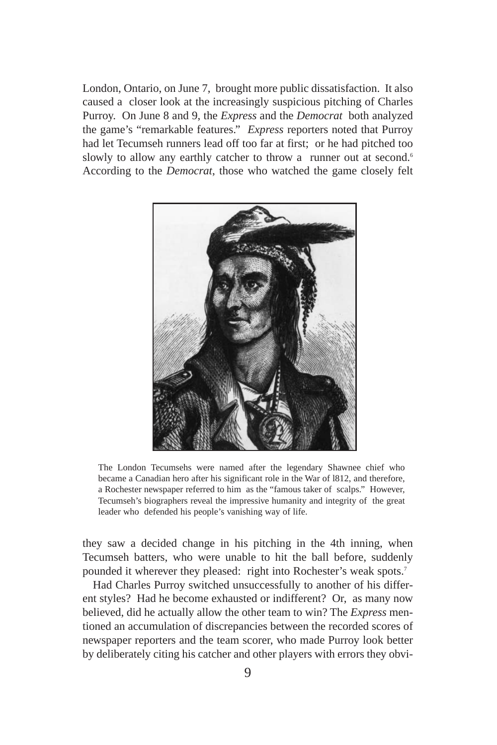London, Ontario, on June 7, brought more public dissatisfaction. It also caused a closer look at the increasingly suspicious pitching of Charles Purroy. On June 8 and 9, the *Express* and the *Democrat* both analyzed the game's "remarkable features." *Express* reporters noted that Purroy had let Tecumseh runners lead off too far at first; or he had pitched too slowly to allow any earthly catcher to throw a runner out at second.<sup>6</sup> According to the *Democrat*, those who watched the game closely felt



The London Tecumsehs were named after the legendary Shawnee chief who became a Canadian hero after his significant role in the War of l812, and therefore, a Rochester newspaper referred to him as the "famous taker of scalps." However, Tecumseh's biographers reveal the impressive humanity and integrity of the great leader who defended his people's vanishing way of life.

they saw a decided change in his pitching in the 4th inning, when Tecumseh batters, who were unable to hit the ball before, suddenly pounded it wherever they pleased: right into Rochester's weak spots.<sup>7</sup>

Had Charles Purroy switched unsuccessfully to another of his different styles? Had he become exhausted or indifferent? Or, as many now believed, did he actually allow the other team to win? The *Express* mentioned an accumulation of discrepancies between the recorded scores of newspaper reporters and the team scorer, who made Purroy look better by deliberately citing his catcher and other players with errors they obvi-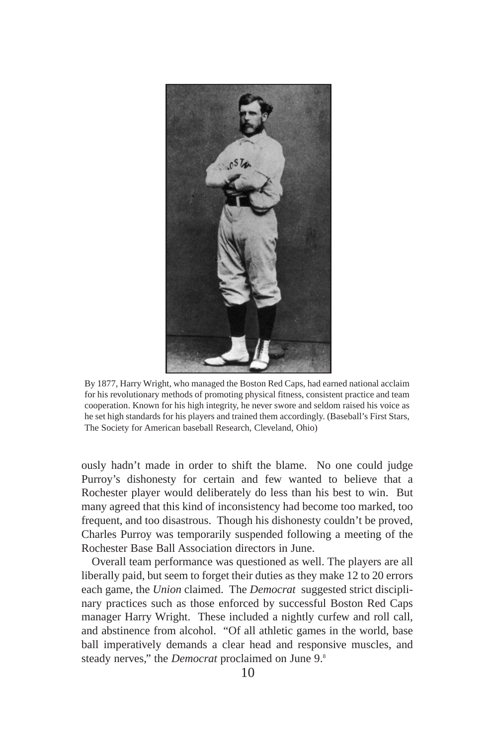

By 1877, Harry Wright, who managed the Boston Red Caps, had earned national acclaim for his revolutionary methods of promoting physical fitness, consistent practice and team cooperation. Known for his high integrity, he never swore and seldom raised his voice as he set high standards for his players and trained them accordingly. (Baseball's First Stars, The Society for American baseball Research, Cleveland, Ohio)

ously hadn't made in order to shift the blame. No one could judge Purroy's dishonesty for certain and few wanted to believe that a Rochester player would deliberately do less than his best to win. But many agreed that this kind of inconsistency had become too marked, too frequent, and too disastrous. Though his dishonesty couldn't be proved, Charles Purroy was temporarily suspended following a meeting of the Rochester Base Ball Association directors in June.

Overall team performance was questioned as well. The players are all liberally paid, but seem to forget their duties as they make 12 to 20 errors each game, the *Union* claimed. The *Democrat* suggested strict disciplinary practices such as those enforced by successful Boston Red Caps manager Harry Wright. These included a nightly curfew and roll call, and abstinence from alcohol. "Of all athletic games in the world, base ball imperatively demands a clear head and responsive muscles, and steady nerves," the *Democrat* proclaimed on June 9.8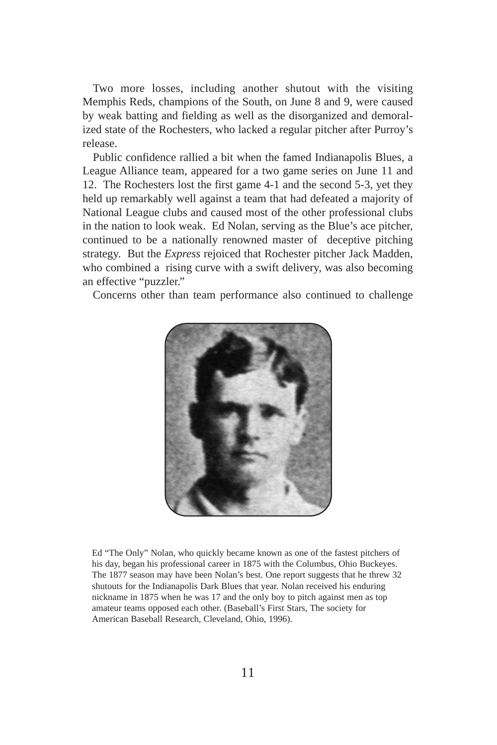Two more losses, including another shutout with the visiting Memphis Reds, champions of the South, on June 8 and 9, were caused by weak batting and fielding as well as the disorganized and demoralized state of the Rochesters, who lacked a regular pitcher after Purroy's release.

Public confidence rallied a bit when the famed Indianapolis Blues, a League Alliance team, appeared for a two game series on June 11 and 12. The Rochesters lost the first game 4-1 and the second 5-3, yet they held up remarkably well against a team that had defeated a majority of National League clubs and caused most of the other professional clubs in the nation to look weak. Ed Nolan, serving as the Blue's ace pitcher, continued to be a nationally renowned master of deceptive pitching strategy. But the *Express* rejoiced that Rochester pitcher Jack Madden, who combined a rising curve with a swift delivery, was also becoming an effective "puzzler."

Concerns other than team performance also continued to challenge



Ed "The Only" Nolan, who quickly became known as one of the fastest pitchers of his day, began his professional career in 1875 with the Columbus, Ohio Buckeyes. The 1877 season may have been Nolan's best. One report suggests that he threw 32 shutouts for the Indianapolis Dark Blues that year. Nolan received his enduring nickname in 1875 when he was 17 and the only boy to pitch against men as top amateur teams opposed each other. (Baseball's First Stars, The society for American Baseball Research, Cleveland, Ohio, 1996).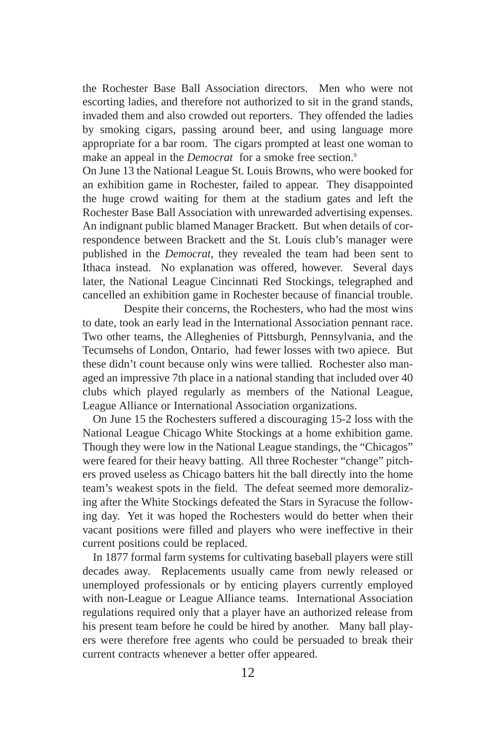the Rochester Base Ball Association directors. Men who were not escorting ladies, and therefore not authorized to sit in the grand stands, invaded them and also crowded out reporters. They offended the ladies by smoking cigars, passing around beer, and using language more appropriate for a bar room. The cigars prompted at least one woman to make an appeal in the *Democrat* for a smoke free section.<sup>9</sup>

On June 13 the National League St. Louis Browns, who were booked for an exhibition game in Rochester, failed to appear. They disappointed the huge crowd waiting for them at the stadium gates and left the Rochester Base Ball Association with unrewarded advertising expenses. An indignant public blamed Manager Brackett. But when details of correspondence between Brackett and the St. Louis club's manager were published in the *Democrat*, they revealed the team had been sent to Ithaca instead. No explanation was offered, however. Several days later, the National League Cincinnati Red Stockings, telegraphed and cancelled an exhibition game in Rochester because of financial trouble.

Despite their concerns, the Rochesters, who had the most wins to date, took an early lead in the International Association pennant race. Two other teams, the Alleghenies of Pittsburgh, Pennsylvania, and the Tecumsehs of London, Ontario, had fewer losses with two apiece. But these didn't count because only wins were tallied. Rochester also managed an impressive 7th place in a national standing that included over 40 clubs which played regularly as members of the National League, League Alliance or International Association organizations.

On June 15 the Rochesters suffered a discouraging 15-2 loss with the National League Chicago White Stockings at a home exhibition game. Though they were low in the National League standings, the "Chicagos" were feared for their heavy batting. All three Rochester "change" pitchers proved useless as Chicago batters hit the ball directly into the home team's weakest spots in the field. The defeat seemed more demoralizing after the White Stockings defeated the Stars in Syracuse the following day. Yet it was hoped the Rochesters would do better when their vacant positions were filled and players who were ineffective in their current positions could be replaced.

In 1877 formal farm systems for cultivating baseball players were still decades away. Replacements usually came from newly released or unemployed professionals or by enticing players currently employed with non-League or League Alliance teams. International Association regulations required only that a player have an authorized release from his present team before he could be hired by another. Many ball players were therefore free agents who could be persuaded to break their current contracts whenever a better offer appeared.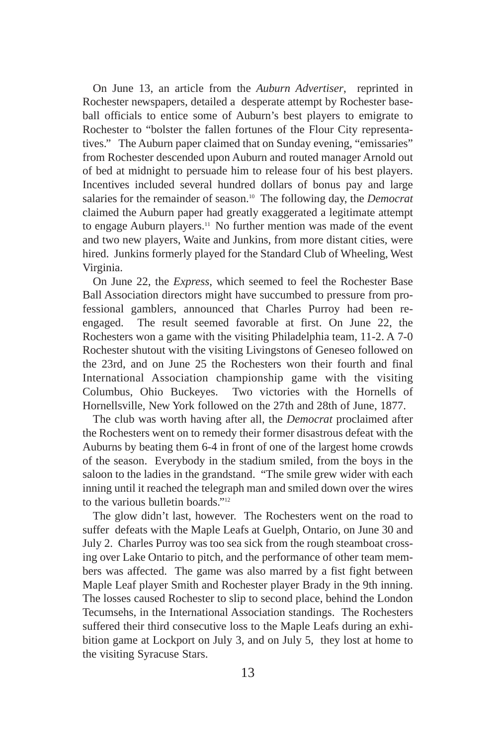On June 13, an article from the *Auburn Advertiser*, reprinted in Rochester newspapers, detailed a desperate attempt by Rochester baseball officials to entice some of Auburn's best players to emigrate to Rochester to "bolster the fallen fortunes of the Flour City representatives." The Auburn paper claimed that on Sunday evening, "emissaries" from Rochester descended upon Auburn and routed manager Arnold out of bed at midnight to persuade him to release four of his best players. Incentives included several hundred dollars of bonus pay and large salaries for the remainder of season.10 The following day, the *Democrat* claimed the Auburn paper had greatly exaggerated a legitimate attempt to engage Auburn players.11 No further mention was made of the event and two new players, Waite and Junkins, from more distant cities, were hired. Junkins formerly played for the Standard Club of Wheeling, West Virginia.

On June 22, the *Express*, which seemed to feel the Rochester Base Ball Association directors might have succumbed to pressure from professional gamblers, announced that Charles Purroy had been reengaged. The result seemed favorable at first. On June 22, the Rochesters won a game with the visiting Philadelphia team, 11-2. A 7-0 Rochester shutout with the visiting Livingstons of Geneseo followed on the 23rd, and on June 25 the Rochesters won their fourth and final International Association championship game with the visiting Columbus, Ohio Buckeyes. Two victories with the Hornells of Hornellsville, New York followed on the 27th and 28th of June, 1877.

The club was worth having after all, the *Democrat* proclaimed after the Rochesters went on to remedy their former disastrous defeat with the Auburns by beating them 6-4 in front of one of the largest home crowds of the season. Everybody in the stadium smiled, from the boys in the saloon to the ladies in the grandstand. "The smile grew wider with each inning until it reached the telegraph man and smiled down over the wires to the various bulletin boards."12

The glow didn't last, however. The Rochesters went on the road to suffer defeats with the Maple Leafs at Guelph, Ontario, on June 30 and July 2. Charles Purroy was too sea sick from the rough steamboat crossing over Lake Ontario to pitch, and the performance of other team members was affected. The game was also marred by a fist fight between Maple Leaf player Smith and Rochester player Brady in the 9th inning. The losses caused Rochester to slip to second place, behind the London Tecumsehs, in the International Association standings. The Rochesters suffered their third consecutive loss to the Maple Leafs during an exhibition game at Lockport on July 3, and on July 5, they lost at home to the visiting Syracuse Stars.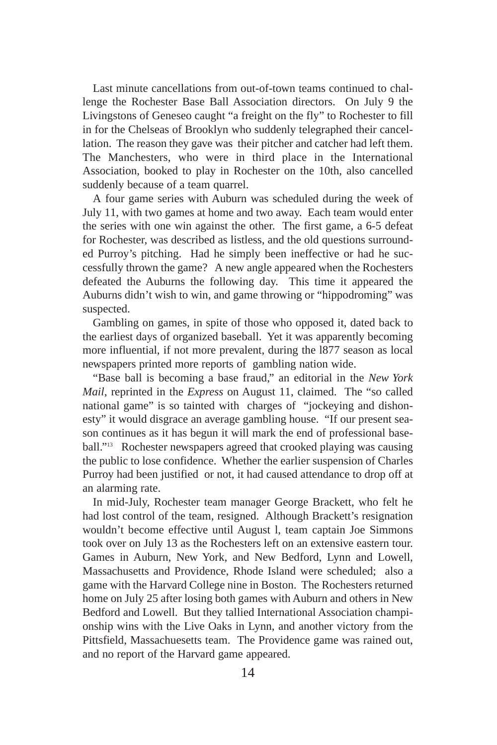Last minute cancellations from out-of-town teams continued to challenge the Rochester Base Ball Association directors. On July 9 the Livingstons of Geneseo caught "a freight on the fly" to Rochester to fill in for the Chelseas of Brooklyn who suddenly telegraphed their cancellation. The reason they gave was their pitcher and catcher had left them. The Manchesters, who were in third place in the International Association, booked to play in Rochester on the 10th, also cancelled suddenly because of a team quarrel.

A four game series with Auburn was scheduled during the week of July 11, with two games at home and two away. Each team would enter the series with one win against the other. The first game, a 6-5 defeat for Rochester, was described as listless, and the old questions surrounded Purroy's pitching. Had he simply been ineffective or had he successfully thrown the game? A new angle appeared when the Rochesters defeated the Auburns the following day. This time it appeared the Auburns didn't wish to win, and game throwing or "hippodroming" was suspected.

Gambling on games, in spite of those who opposed it, dated back to the earliest days of organized baseball. Yet it was apparently becoming more influential, if not more prevalent, during the l877 season as local newspapers printed more reports of gambling nation wide.

"Base ball is becoming a base fraud," an editorial in the *New York Mail*, reprinted in the *Express* on August 11, claimed. The "so called national game" is so tainted with charges of "jockeying and dishonesty" it would disgrace an average gambling house. "If our present season continues as it has begun it will mark the end of professional baseball."<sup>13</sup> Rochester newspapers agreed that crooked playing was causing the public to lose confidence. Whether the earlier suspension of Charles Purroy had been justified or not, it had caused attendance to drop off at an alarming rate.

In mid-July, Rochester team manager George Brackett, who felt he had lost control of the team, resigned. Although Brackett's resignation wouldn't become effective until August l, team captain Joe Simmons took over on July 13 as the Rochesters left on an extensive eastern tour. Games in Auburn, New York, and New Bedford, Lynn and Lowell, Massachusetts and Providence, Rhode Island were scheduled; also a game with the Harvard College nine in Boston. The Rochesters returned home on July 25 after losing both games with Auburn and others in New Bedford and Lowell. But they tallied International Association championship wins with the Live Oaks in Lynn, and another victory from the Pittsfield, Massachuesetts team. The Providence game was rained out, and no report of the Harvard game appeared.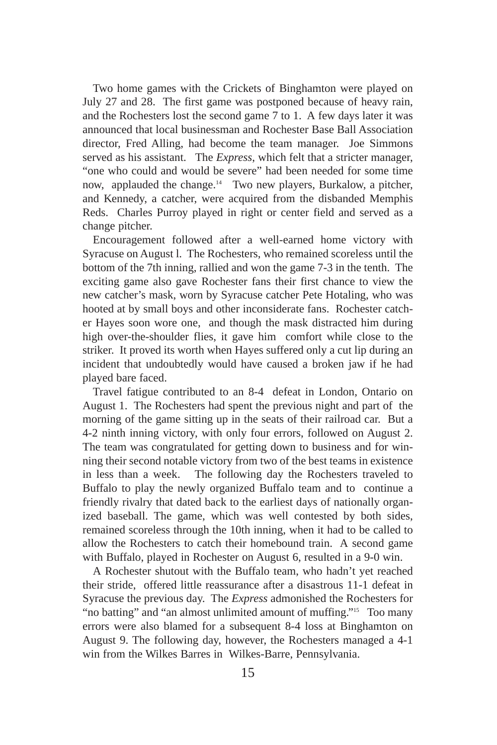Two home games with the Crickets of Binghamton were played on July 27 and 28. The first game was postponed because of heavy rain, and the Rochesters lost the second game 7 to 1. A few days later it was announced that local businessman and Rochester Base Ball Association director, Fred Alling, had become the team manager. Joe Simmons served as his assistant. The *Express*, which felt that a stricter manager, "one who could and would be severe" had been needed for some time now, applauded the change.<sup>14</sup> Two new players, Burkalow, a pitcher, and Kennedy, a catcher, were acquired from the disbanded Memphis Reds. Charles Purroy played in right or center field and served as a change pitcher.

Encouragement followed after a well-earned home victory with Syracuse on August l. The Rochesters, who remained scoreless until the bottom of the 7th inning, rallied and won the game 7-3 in the tenth. The exciting game also gave Rochester fans their first chance to view the new catcher's mask, worn by Syracuse catcher Pete Hotaling, who was hooted at by small boys and other inconsiderate fans. Rochester catcher Hayes soon wore one, and though the mask distracted him during high over-the-shoulder flies, it gave him comfort while close to the striker. It proved its worth when Hayes suffered only a cut lip during an incident that undoubtedly would have caused a broken jaw if he had played bare faced.

Travel fatigue contributed to an 8-4 defeat in London, Ontario on August 1. The Rochesters had spent the previous night and part of the morning of the game sitting up in the seats of their railroad car. But a 4-2 ninth inning victory, with only four errors, followed on August 2. The team was congratulated for getting down to business and for winning their second notable victory from two of the best teams in existence in less than a week. The following day the Rochesters traveled to Buffalo to play the newly organized Buffalo team and to continue a friendly rivalry that dated back to the earliest days of nationally organized baseball. The game, which was well contested by both sides, remained scoreless through the 10th inning, when it had to be called to allow the Rochesters to catch their homebound train. A second game with Buffalo, played in Rochester on August 6, resulted in a 9-0 win.

A Rochester shutout with the Buffalo team, who hadn't yet reached their stride, offered little reassurance after a disastrous 11-1 defeat in Syracuse the previous day. The *Express* admonished the Rochesters for "no batting" and "an almost unlimited amount of muffing."<sup>15</sup> Too many errors were also blamed for a subsequent 8-4 loss at Binghamton on August 9. The following day, however, the Rochesters managed a 4-1 win from the Wilkes Barres in Wilkes-Barre, Pennsylvania.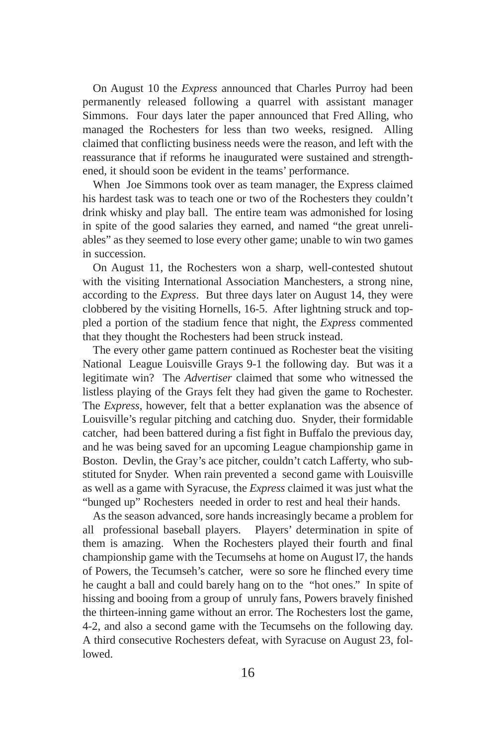On August 10 the *Express* announced that Charles Purroy had been permanently released following a quarrel with assistant manager Simmons. Four days later the paper announced that Fred Alling, who managed the Rochesters for less than two weeks, resigned. Alling claimed that conflicting business needs were the reason, and left with the reassurance that if reforms he inaugurated were sustained and strengthened, it should soon be evident in the teams' performance.

When Joe Simmons took over as team manager, the Express claimed his hardest task was to teach one or two of the Rochesters they couldn't drink whisky and play ball. The entire team was admonished for losing in spite of the good salaries they earned, and named "the great unreliables" as they seemed to lose every other game; unable to win two games in succession.

On August 11, the Rochesters won a sharp, well-contested shutout with the visiting International Association Manchesters, a strong nine, according to the *Express*. But three days later on August 14, they were clobbered by the visiting Hornells, 16-5. After lightning struck and toppled a portion of the stadium fence that night, the *Express* commented that they thought the Rochesters had been struck instead.

The every other game pattern continued as Rochester beat the visiting National League Louisville Grays 9-1 the following day. But was it a legitimate win? The *Advertiser* claimed that some who witnessed the listless playing of the Grays felt they had given the game to Rochester. The *Express*, however, felt that a better explanation was the absence of Louisville's regular pitching and catching duo. Snyder, their formidable catcher, had been battered during a fist fight in Buffalo the previous day, and he was being saved for an upcoming League championship game in Boston. Devlin, the Gray's ace pitcher, couldn't catch Lafferty, who substituted for Snyder. When rain prevented a second game with Louisville as well as a game with Syracuse, the *Express* claimed it was just what the "bunged up" Rochesters needed in order to rest and heal their hands.

As the season advanced, sore hands increasingly became a problem for all professional baseball players. Players' determination in spite of them is amazing. When the Rochesters played their fourth and final championship game with the Tecumsehs at home on August l7, the hands of Powers, the Tecumseh's catcher, were so sore he flinched every time he caught a ball and could barely hang on to the "hot ones." In spite of hissing and booing from a group of unruly fans, Powers bravely finished the thirteen-inning game without an error. The Rochesters lost the game, 4-2, and also a second game with the Tecumsehs on the following day. A third consecutive Rochesters defeat, with Syracuse on August 23, followed.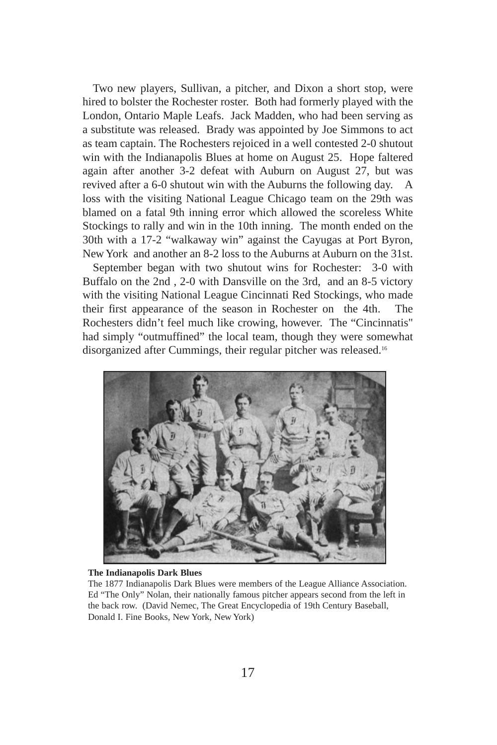Two new players, Sullivan, a pitcher, and Dixon a short stop, were hired to bolster the Rochester roster. Both had formerly played with the London, Ontario Maple Leafs. Jack Madden, who had been serving as a substitute was released. Brady was appointed by Joe Simmons to act as team captain. The Rochesters rejoiced in a well contested 2-0 shutout win with the Indianapolis Blues at home on August 25. Hope faltered again after another 3-2 defeat with Auburn on August 27, but was revived after a 6-0 shutout win with the Auburns the following day. A loss with the visiting National League Chicago team on the 29th was blamed on a fatal 9th inning error which allowed the scoreless White Stockings to rally and win in the 10th inning. The month ended on the 30th with a 17-2 "walkaway win" against the Cayugas at Port Byron, New York and another an 8-2 loss to the Auburns at Auburn on the 31st.

September began with two shutout wins for Rochester: 3-0 with Buffalo on the 2nd , 2-0 with Dansville on the 3rd, and an 8-5 victory with the visiting National League Cincinnati Red Stockings, who made their first appearance of the season in Rochester on the 4th. The Rochesters didn't feel much like crowing, however. The "Cincinnatis" had simply "outmuffined" the local team, though they were somewhat disorganized after Cummings, their regular pitcher was released.16



#### **The Indianapolis Dark Blues**

The 1877 Indianapolis Dark Blues were members of the League Alliance Association. Ed "The Only" Nolan, their nationally famous pitcher appears second from the left in the back row. (David Nemec, The Great Encyclopedia of 19th Century Baseball, Donald I. Fine Books, New York, New York)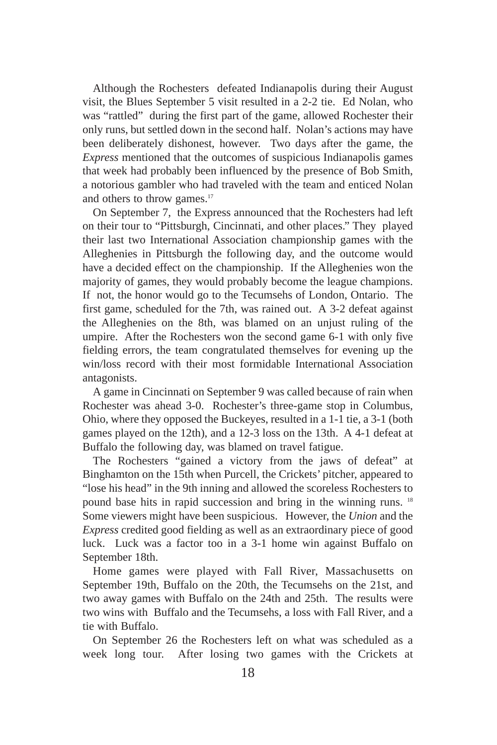Although the Rochesters defeated Indianapolis during their August visit, the Blues September 5 visit resulted in a 2-2 tie. Ed Nolan, who was "rattled" during the first part of the game, allowed Rochester their only runs, but settled down in the second half. Nolan's actions may have been deliberately dishonest, however. Two days after the game, the *Express* mentioned that the outcomes of suspicious Indianapolis games that week had probably been influenced by the presence of Bob Smith, a notorious gambler who had traveled with the team and enticed Nolan and others to throw games.<sup>17</sup>

On September 7, the Express announced that the Rochesters had left on their tour to "Pittsburgh, Cincinnati, and other places." They played their last two International Association championship games with the Alleghenies in Pittsburgh the following day, and the outcome would have a decided effect on the championship. If the Alleghenies won the majority of games, they would probably become the league champions. If not, the honor would go to the Tecumsehs of London, Ontario. The first game, scheduled for the 7th, was rained out. A 3-2 defeat against the Alleghenies on the 8th, was blamed on an unjust ruling of the umpire. After the Rochesters won the second game 6-1 with only five fielding errors, the team congratulated themselves for evening up the win/loss record with their most formidable International Association antagonists.

A game in Cincinnati on September 9 was called because of rain when Rochester was ahead 3-0. Rochester's three-game stop in Columbus, Ohio, where they opposed the Buckeyes, resulted in a 1-1 tie, a 3-1 (both games played on the 12th), and a 12-3 loss on the 13th. A 4-1 defeat at Buffalo the following day, was blamed on travel fatigue.

The Rochesters "gained a victory from the jaws of defeat" at Binghamton on the 15th when Purcell, the Crickets' pitcher, appeared to "lose his head" in the 9th inning and allowed the scoreless Rochesters to pound base hits in rapid succession and bring in the winning runs. 18 Some viewers might have been suspicious. However, the *Union* and the *Express* credited good fielding as well as an extraordinary piece of good luck. Luck was a factor too in a 3-1 home win against Buffalo on September 18th.

Home games were played with Fall River, Massachusetts on September 19th, Buffalo on the 20th, the Tecumsehs on the 21st, and two away games with Buffalo on the 24th and 25th. The results were two wins with Buffalo and the Tecumsehs, a loss with Fall River, and a tie with Buffalo.

On September 26 the Rochesters left on what was scheduled as a week long tour. After losing two games with the Crickets at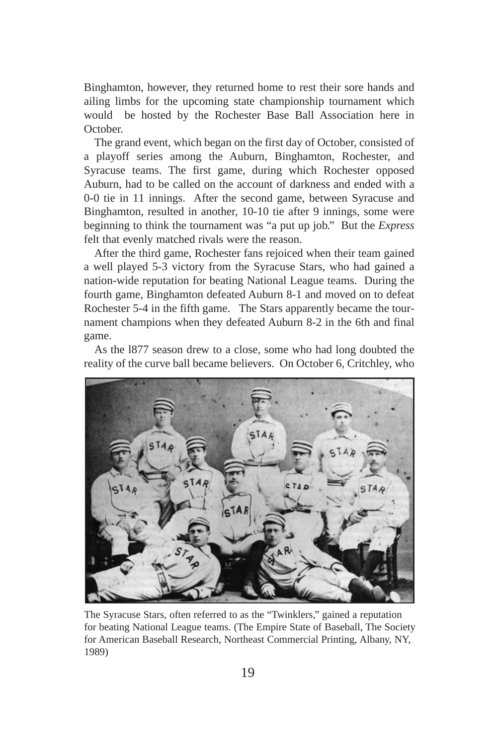Binghamton, however, they returned home to rest their sore hands and ailing limbs for the upcoming state championship tournament which would be hosted by the Rochester Base Ball Association here in October.

The grand event, which began on the first day of October, consisted of a playoff series among the Auburn, Binghamton, Rochester, and Syracuse teams. The first game, during which Rochester opposed Auburn, had to be called on the account of darkness and ended with a 0-0 tie in 11 innings. After the second game, between Syracuse and Binghamton, resulted in another, 10-10 tie after 9 innings, some were beginning to think the tournament was "a put up job." But the *Express* felt that evenly matched rivals were the reason.

After the third game, Rochester fans rejoiced when their team gained a well played 5-3 victory from the Syracuse Stars, who had gained a nation-wide reputation for beating National League teams. During the fourth game, Binghamton defeated Auburn 8-1 and moved on to defeat Rochester 5-4 in the fifth game. The Stars apparently became the tournament champions when they defeated Auburn 8-2 in the 6th and final game.

As the l877 season drew to a close, some who had long doubted the reality of the curve ball became believers. On October 6, Critchley, who



The Syracuse Stars, often referred to as the "Twinklers," gained a reputation for beating National League teams. (The Empire State of Baseball, The Society for American Baseball Research, Northeast Commercial Printing, Albany, NY, 1989)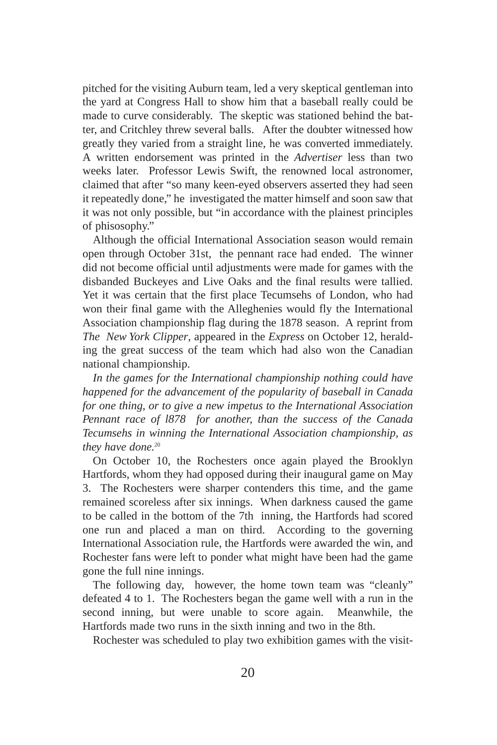pitched for the visiting Auburn team, led a very skeptical gentleman into the yard at Congress Hall to show him that a baseball really could be made to curve considerably. The skeptic was stationed behind the batter, and Critchley threw several balls. After the doubter witnessed how greatly they varied from a straight line, he was converted immediately. A written endorsement was printed in the *Advertiser* less than two weeks later. Professor Lewis Swift, the renowned local astronomer, claimed that after "so many keen-eyed observers asserted they had seen it repeatedly done," he investigated the matter himself and soon saw that it was not only possible, but "in accordance with the plainest principles of phisosophy."

Although the official International Association season would remain open through October 31st, the pennant race had ended. The winner did not become official until adjustments were made for games with the disbanded Buckeyes and Live Oaks and the final results were tallied. Yet it was certain that the first place Tecumsehs of London, who had won their final game with the Alleghenies would fly the International Association championship flag during the 1878 season. A reprint from *The New York Clipper*, appeared in the *Express* on October 12, heralding the great success of the team which had also won the Canadian national championship.

*In the games for the International championship nothing could have happened for the advancement of the popularity of baseball in Canada for one thing, or to give a new impetus to the International Association Pennant race of l878 for another, than the success of the Canada Tecumsehs in winning the International Association championship, as* they have done.<sup>20</sup>

On October 10, the Rochesters once again played the Brooklyn Hartfords, whom they had opposed during their inaugural game on May 3. The Rochesters were sharper contenders this time, and the game remained scoreless after six innings. When darkness caused the game to be called in the bottom of the 7th inning, the Hartfords had scored one run and placed a man on third. According to the governing International Association rule, the Hartfords were awarded the win, and Rochester fans were left to ponder what might have been had the game gone the full nine innings.

The following day, however, the home town team was "cleanly" defeated 4 to 1. The Rochesters began the game well with a run in the second inning, but were unable to score again. Meanwhile, the Hartfords made two runs in the sixth inning and two in the 8th.

Rochester was scheduled to play two exhibition games with the visit-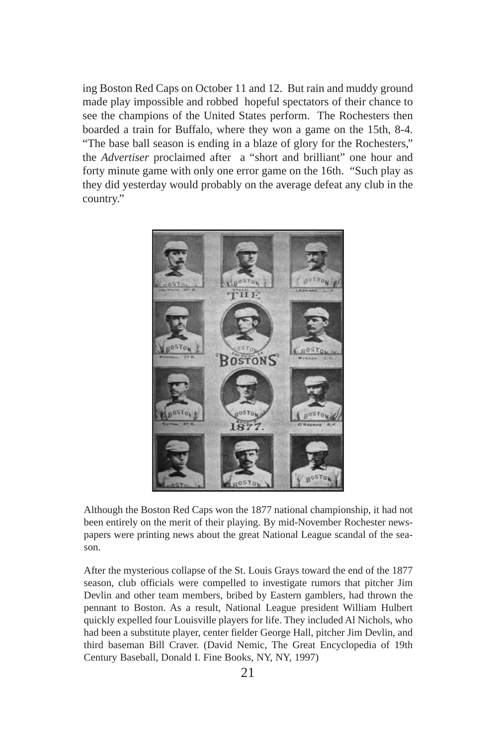ing Boston Red Caps on October 11 and 12. But rain and muddy ground made play impossible and robbed hopeful spectators of their chance to see the champions of the United States perform. The Rochesters then boarded a train for Buffalo, where they won a game on the 15th, 8-4. "The base ball season is ending in a blaze of glory for the Rochesters," the *Advertiser* proclaimed after a "short and brilliant" one hour and forty minute game with only one error game on the 16th. "Such play as they did yesterday would probably on the average defeat any club in the country."



Although the Boston Red Caps won the 1877 national championship, it had not been entirely on the merit of their playing. By mid-November Rochester newspapers were printing news about the great National League scandal of the season.

After the mysterious collapse of the St. Louis Grays toward the end of the 1877 season, club officials were compelled to investigate rumors that pitcher Jim Devlin and other team members, bribed by Eastern gamblers, had thrown the pennant to Boston. As a result, National League president William Hulbert quickly expelled four Louisville players for life. They included Al Nichols, who had been a substitute player, center fielder George Hall, pitcher Jim Devlin, and third baseman Bill Craver. (David Nemic, The Great Encyclopedia of 19th Century Baseball, Donald I. Fine Books, NY, NY, 1997)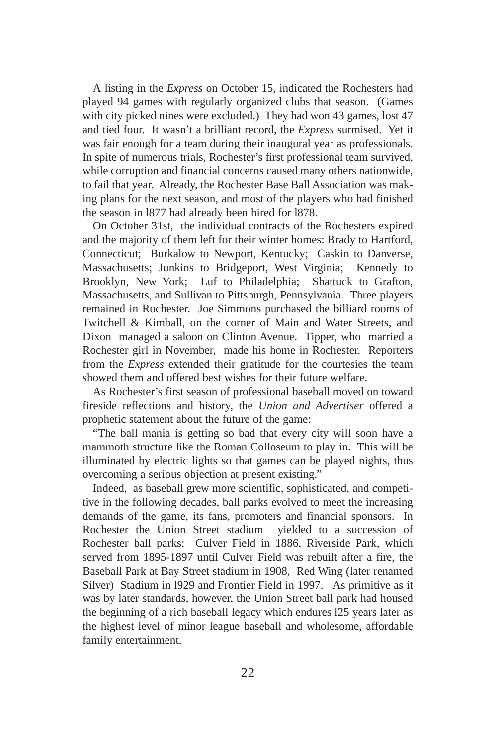A listing in the *Express* on October 15, indicated the Rochesters had played 94 games with regularly organized clubs that season. (Games with city picked nines were excluded.) They had won 43 games, lost 47 and tied four. It wasn't a brilliant record, the *Express* surmised. Yet it was fair enough for a team during their inaugural year as professionals. In spite of numerous trials, Rochester's first professional team survived, while corruption and financial concerns caused many others nationwide, to fail that year. Already, the Rochester Base Ball Association was making plans for the next season, and most of the players who had finished the season in l877 had already been hired for l878.

On October 31st, the individual contracts of the Rochesters expired and the majority of them left for their winter homes: Brady to Hartford, Connecticut; Burkalow to Newport, Kentucky; Caskin to Danverse, Massachusetts; Junkins to Bridgeport, West Virginia; Kennedy to Brooklyn, New York; Luf to Philadelphia; Shattuck to Grafton, Massachusetts, and Sullivan to Pittsburgh, Pennsylvania. Three players remained in Rochester. Joe Simmons purchased the billiard rooms of Twitchell & Kimball, on the corner of Main and Water Streets, and Dixon managed a saloon on Clinton Avenue. Tipper, who married a Rochester girl in November, made his home in Rochester. Reporters from the *Express* extended their gratitude for the courtesies the team showed them and offered best wishes for their future welfare.

As Rochester's first season of professional baseball moved on toward fireside reflections and history, the *Union and Advertiser* offered a prophetic statement about the future of the game:

"The ball mania is getting so bad that every city will soon have a mammoth structure like the Roman Colloseum to play in. This will be illuminated by electric lights so that games can be played nights, thus overcoming a serious objection at present existing."

Indeed, as baseball grew more scientific, sophisticated, and competitive in the following decades, ball parks evolved to meet the increasing demands of the game, its fans, promoters and financial sponsors. In Rochester the Union Street stadium yielded to a succession of Rochester ball parks: Culver Field in 1886, Riverside Park, which served from 1895-1897 until Culver Field was rebuilt after a fire, the Baseball Park at Bay Street stadium in 1908, Red Wing (later renamed Silver) Stadium in l929 and Frontier Field in 1997. As primitive as it was by later standards, however, the Union Street ball park had housed the beginning of a rich baseball legacy which endures l25 years later as the highest level of minor league baseball and wholesome, affordable family entertainment.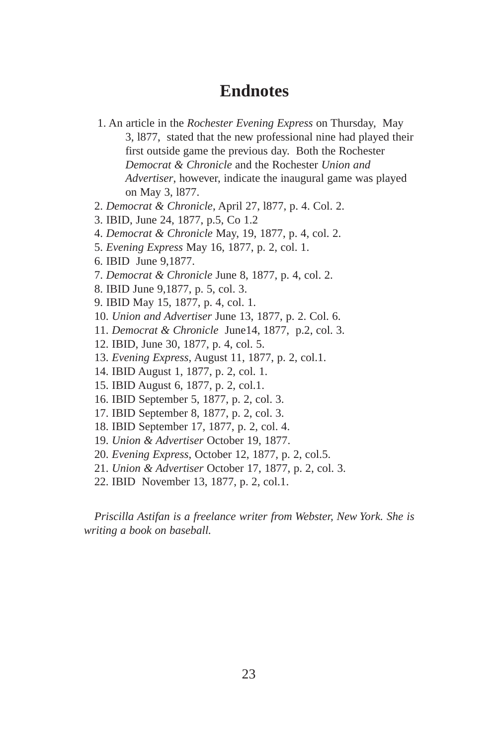### **Endnotes**

- 1. An article in the *Rochester Evening Express* on Thursday, May 3, l877, stated that the new professional nine had played their first outside game the previous day. Both the Rochester *Democrat & Chronicle* and the Rochester *Union and Advertiser*, however, indicate the inaugural game was played on May 3, l877.
- 2. *Democrat & Chronicle*, April 27, l877, p. 4. Col. 2.
- 3. IBID, June 24, 1877, p.5, Co 1.2
- 4. *Democrat & Chronicle* May, 19, 1877, p. 4, col. 2.
- 5. *Evening Express* May 16, 1877, p. 2, col. 1.
- 6. IBID June 9,1877.
- 7. *Democrat & Chronicle* June 8, 1877, p. 4, col. 2.
- 8. IBID June 9,1877, p. 5, col. 3.
- 9. IBID May 15, 1877, p. 4, col. 1.
- 10. *Union and Advertiser* June 13, 1877, p. 2. Col. 6.
- 11. *Democrat & Chronicle* June14, 1877, p.2, col. 3.
- 12. IBID, June 30, 1877, p. 4, col. 5.
- 13. *Evening Express*, August 11, 1877, p. 2, col.1.
- 14. IBID August 1, 1877, p. 2, col. 1.
- 15. IBID August 6, 1877, p. 2, col.1.
- 16. IBID September 5, 1877, p. 2, col. 3.
- 17. IBID September 8, 1877, p. 2, col. 3.
- 18. IBID September 17, 1877, p. 2, col. 4.
- 19. *Union & Advertiser* October 19, 1877.
- 20. *Evening Express*, October 12, 1877, p. 2, col.5.
- 21. *Union & Advertiser* October 17, 1877, p. 2, col. 3.
- 22. IBID November 13, 1877, p. 2, col.1.

*Priscilla Astifan is a freelance writer from Webster, New York. She is writing a book on baseball.*